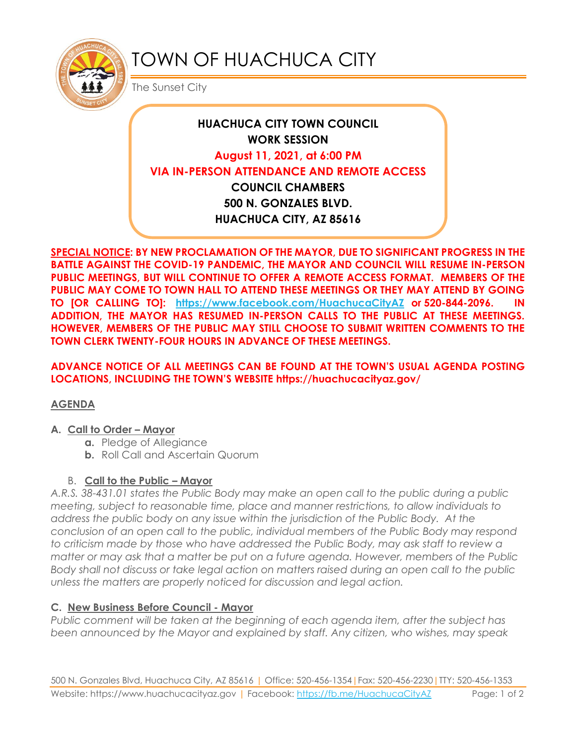

# TOWN OF HUACHUCA CITY

The Sunset City

# **HUACHUCA CITY TOWN COUNCIL WORK SESSION August 11, 2021, at 6:00 PM VIA IN-PERSON ATTENDANCE AND REMOTE ACCESS COUNCIL CHAMBERS 500 N. GONZALES BLVD. HUACHUCA CITY, AZ 85616**

**SPECIAL NOTICE: BY NEW PROCLAMATION OF THE MAYOR, DUE TO SIGNIFICANT PROGRESS IN THE BATTLE AGAINST THE COVID-19 PANDEMIC, THE MAYOR AND COUNCIL WILL RESUME IN-PERSON PUBLIC MEETINGS, BUT WILL CONTINUE TO OFFER A REMOTE ACCESS FORMAT. MEMBERS OF THE PUBLIC MAY COME TO TOWN HALL TO ATTEND THESE MEETINGS OR THEY MAY ATTEND BY GOING TO [OR CALLING TO]: <https://www.facebook.com/HuachucaCityAZ> or 520-844-2096. IN ADDITION, THE MAYOR HAS RESUMED IN-PERSON CALLS TO THE PUBLIC AT THESE MEETINGS. HOWEVER, MEMBERS OF THE PUBLIC MAY STILL CHOOSE TO SUBMIT WRITTEN COMMENTS TO THE TOWN CLERK TWENTY-FOUR HOURS IN ADVANCE OF THESE MEETINGS.** 

**ADVANCE NOTICE OF ALL MEETINGS CAN BE FOUND AT THE TOWN'S USUAL AGENDA POSTING LOCATIONS, INCLUDING THE TOWN'S WEBSITE https://huachucacityaz.gov/**

# **AGENDA**

#### **A. Call to Order – Mayor**

- **a.** Pledge of Allegiance
- **b.** Roll Call and Ascertain Quorum

# B. **Call to the Public – Mayor**

*A.R.S. 38-431.01 states the Public Body may make an open call to the public during a public meeting, subject to reasonable time, place and manner restrictions, to allow individuals to address the public body on any issue within the jurisdiction of the Public Body. At the conclusion of an open call to the public, individual members of the Public Body may respond to criticism made by those who have addressed the Public Body, may ask staff to review a matter or may ask that a matter be put on a future agenda. However, members of the Public Body shall not discuss or take legal action on matters raised during an open call to the public unless the matters are properly noticed for discussion and legal action.*

# **C. New Business Before Council - Mayor**

*Public comment will be taken at the beginning of each agenda item, after the subject has been announced by the Mayor and explained by staff. Any citizen, who wishes, may speak*